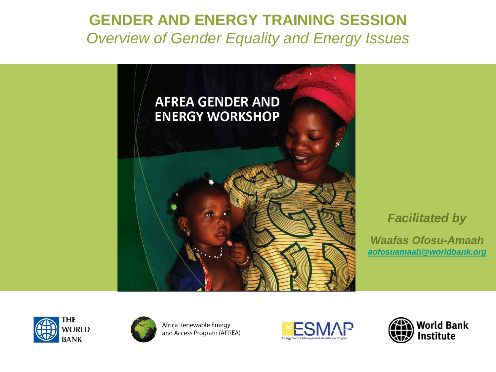#### **GENDER AND ENERGY TRAINING SESSION Overview of Gender Equality and Energy Issues**



#### **Facilitated by**

**Waafas Ofosu-Amaah** aofosuamaah@worldbank.org





Africa Renewable Energy and Access Program (AFREA)



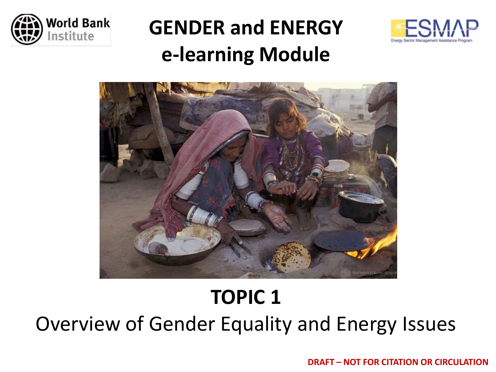

### **GENDER and ENERGY e-learning Module**





### **TOPIC 1**

Overview of Gender Equality and Energy Issues

**DRAFT – NOT FOR CITATION OR CIRCULATION**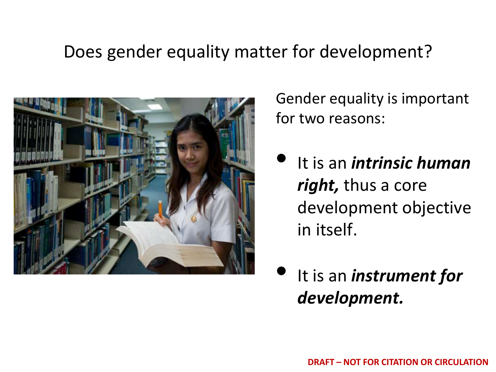### Does gender equality matter for development?



Gender equality is important for two reasons:

- It is an *intrinsic human right,* thus a core development objective in itself.
- It is an *instrument for development.*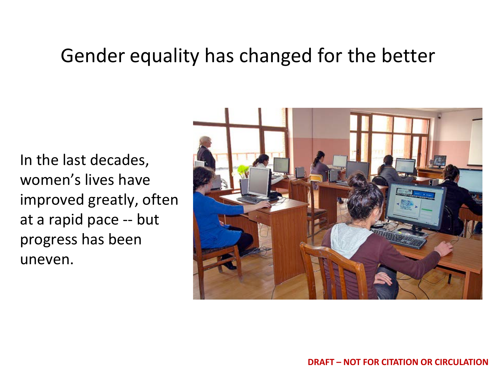### Gender equality has changed for the better

In the last decades, women's lives have improved greatly, often at a rapid pace -- but progress has been uneven.

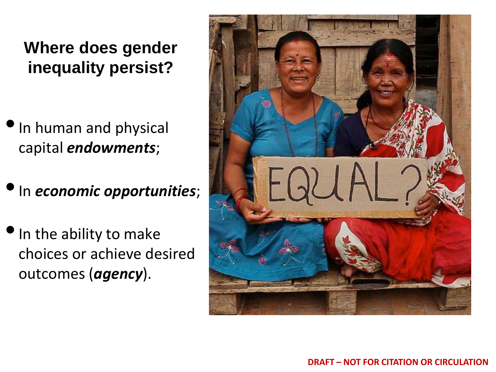#### **Where does gender inequality persist?**

- •In human and physical capital *endowments*;
- •In *economic opportunities*;
- In the ability to make choices or achieve desired outcomes (*agency*).

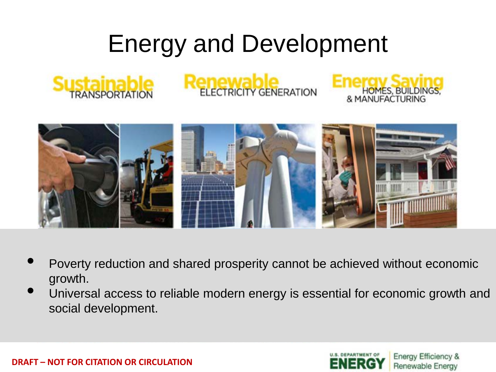## Energy and Development







- Poverty reduction and shared prosperity cannot be achieved without economic growth.
- Universal access to reliable modern energy is essential for economic growth and social development.



HOMES, BUILDINGS,<br>& MANUFACTURING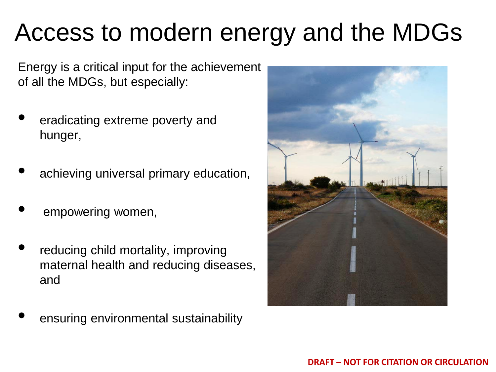## Access to modern energy and the MDGs

Energy is a critical input for the achievement of all the MDGs, but especially:

- eradicating extreme poverty and hunger,
- achieving universal primary education,
- empowering women,
- reducing child mortality, improving maternal health and reducing diseases, and
- ensuring environmental sustainability

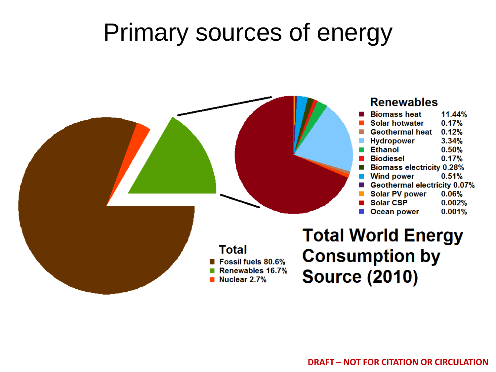### Primary sources of energy

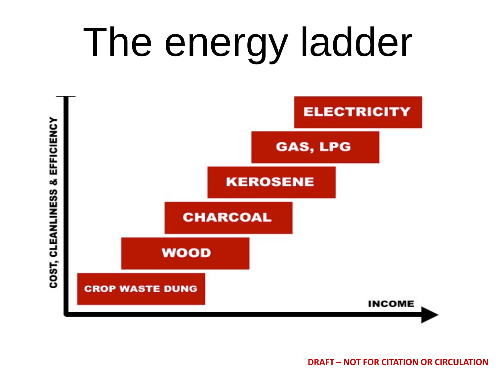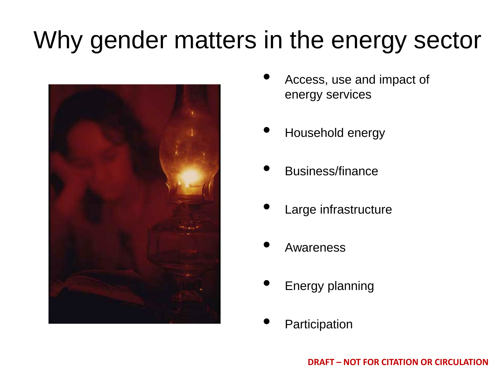## Why gender matters in the energy sector



- Access, use and impact of energy services
- Household energy
- Business/finance
- Large infrastructure
- **Awareness**
- Energy planning
- **Participation**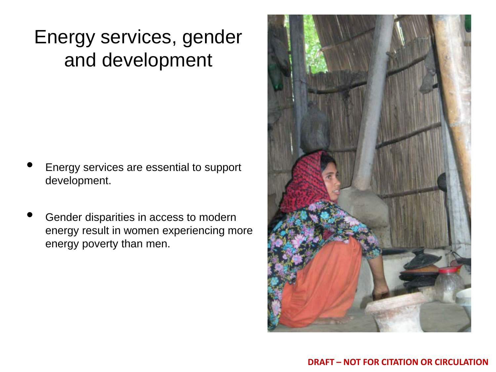### Energy services, gender and development

- Energy services are essential to support development.
- Gender disparities in access to modern energy result in women experiencing more energy poverty than men.

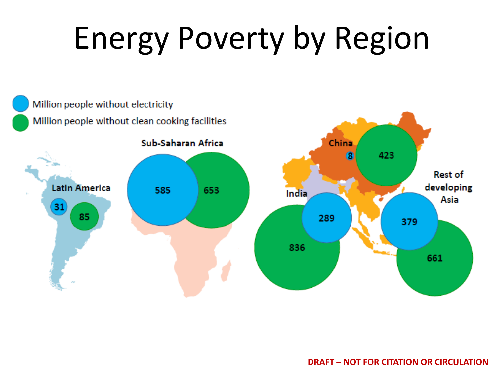# Energy Poverty by Region



**DRAFT – NOT FOR CITATION OR CIRCULATION**